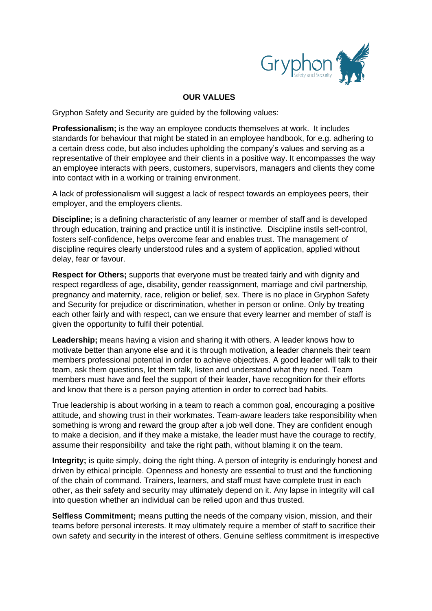

## **OUR VALUES**

Gryphon Safety and Security are guided by the following values:

**Professionalism;** is the way an employee conducts themselves at work. It includes standards for behaviour that might be stated in an employee handbook, for e.g. adhering to a certain dress code, but also includes upholding the company's values and serving as a representative of their employee and their clients in a positive way. It encompasses the way an employee interacts with peers, customers, supervisors, managers and clients they come into contact with in a working or training environment.

A lack of professionalism will suggest a lack of respect towards an employees peers, their employer, and the employers clients.

**Discipline;** is a defining characteristic of any learner or member of staff and is developed through education, training and practice until it is instinctive. Discipline instils self-control, fosters self-confidence, helps overcome fear and enables trust. The management of discipline requires clearly understood rules and a system of application, applied without delay, fear or favour.

**Respect for Others;** supports that everyone must be treated fairly and with dignity and respect regardless of age, disability, gender reassignment, marriage and civil partnership, pregnancy and maternity, race, religion or belief, sex. There is no place in Gryphon Safety and Security for prejudice or discrimination, whether in person or online. Only by treating each other fairly and with respect, can we ensure that every learner and member of staff is given the opportunity to fulfil their potential.

**Leadership;** means having a vision and sharing it with others. A leader knows how to motivate better than anyone else and it is through motivation, a leader channels their team members professional potential in order to achieve objectives. A good leader will talk to their team, ask them questions, let them talk, listen and understand what they need. Team members must have and feel the support of their leader, have recognition for their efforts and know that there is a person paying attention in order to correct bad habits.

True leadership is about working in a team to reach a common goal, encouraging a positive attitude, and showing trust in their workmates. Team-aware leaders take responsibility when something is wrong and reward the group after a job well done. They are confident enough to make a decision, and if they make a mistake, the leader must have the courage to rectify, assume their responsibility and take the right path, without blaming it on the team.

**Integrity;** is quite simply, doing the right thing. A person of integrity is enduringly honest and driven by ethical principle. Openness and honesty are essential to trust and the functioning of the chain of command. Trainers, learners, and staff must have complete trust in each other, as their safety and security may ultimately depend on it. Any lapse in integrity will call into question whether an individual can be relied upon and thus trusted.

**Selfless Commitment;** means putting the needs of the company vision, mission, and their teams before personal interests. It may ultimately require a member of staff to sacrifice their own safety and security in the interest of others. Genuine selfless commitment is irrespective